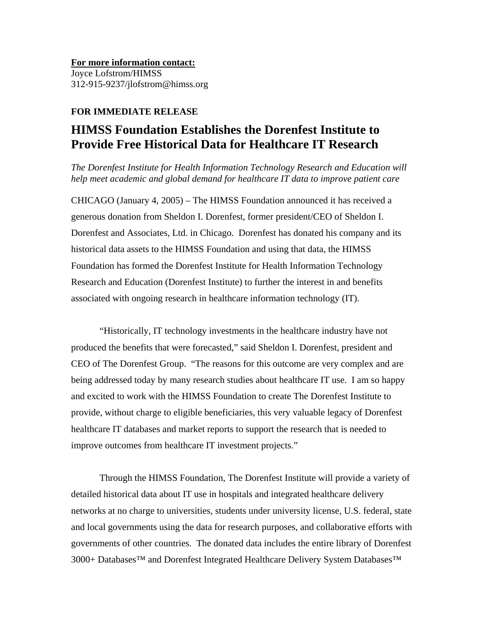**For more information contact:** Joyce Lofstrom/HIMSS 312-915-9237/jlofstrom@himss.org

## **FOR IMMEDIATE RELEASE**

## **HIMSS Foundation Establishes the Dorenfest Institute to Provide Free Historical Data for Healthcare IT Research**

*The Dorenfest Institute for Health Information Technology Research and Education will help meet academic and global demand for healthcare IT data to improve patient care* 

CHICAGO (January 4, 2005) – The HIMSS Foundation announced it has received a generous donation from Sheldon I. Dorenfest, former president/CEO of Sheldon I. Dorenfest and Associates, Ltd. in Chicago. Dorenfest has donated his company and its historical data assets to the HIMSS Foundation and using that data, the HIMSS Foundation has formed the Dorenfest Institute for Health Information Technology Research and Education (Dorenfest Institute) to further the interest in and benefits associated with ongoing research in healthcare information technology (IT).

"Historically, IT technology investments in the healthcare industry have not produced the benefits that were forecasted," said Sheldon I. Dorenfest, president and CEO of The Dorenfest Group. "The reasons for this outcome are very complex and are being addressed today by many research studies about healthcare IT use. I am so happy and excited to work with the HIMSS Foundation to create The Dorenfest Institute to provide, without charge to eligible beneficiaries, this very valuable legacy of Dorenfest healthcare IT databases and market reports to support the research that is needed to improve outcomes from healthcare IT investment projects."

Through the HIMSS Foundation, The Dorenfest Institute will provide a variety of detailed historical data about IT use in hospitals and integrated healthcare delivery networks at no charge to universities, students under university license, U.S. federal, state and local governments using the data for research purposes, and collaborative efforts with governments of other countries. The donated data includes the entire library of Dorenfest 3000+ Databases<sup>™</sup> and Dorenfest Integrated Healthcare Delivery System Databases<sup>™</sup>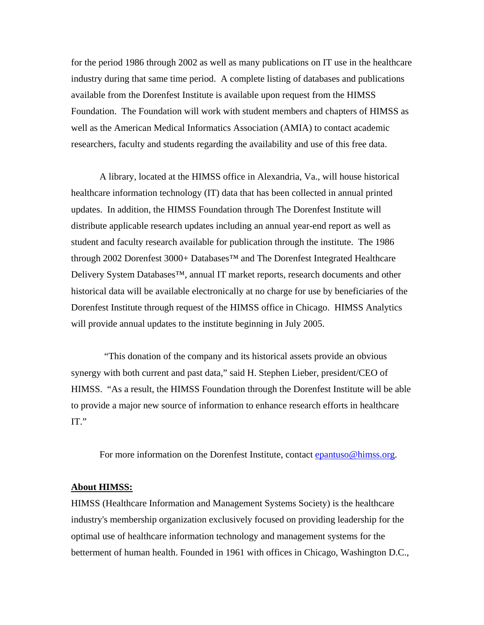for the period 1986 through 2002 as well as many publications on IT use in the healthcare industry during that same time period. A complete listing of databases and publications available from the Dorenfest Institute is available upon request from the HIMSS Foundation. The Foundation will work with student members and chapters of HIMSS as well as the American Medical Informatics Association (AMIA) to contact academic researchers, faculty and students regarding the availability and use of this free data.

A library, located at the HIMSS office in Alexandria, Va., will house historical healthcare information technology (IT) data that has been collected in annual printed updates. In addition, the HIMSS Foundation through The Dorenfest Institute will distribute applicable research updates including an annual year-end report as well as student and faculty research available for publication through the institute. The 1986 through 2002 Dorenfest 3000+ Databases™ and The Dorenfest Integrated Healthcare Delivery System Databases™, annual IT market reports, research documents and other historical data will be available electronically at no charge for use by beneficiaries of the Dorenfest Institute through request of the HIMSS office in Chicago. HIMSS Analytics will provide annual updates to the institute beginning in July 2005.

 "This donation of the company and its historical assets provide an obvious synergy with both current and past data," said H. Stephen Lieber, president/CEO of HIMSS. "As a result, the HIMSS Foundation through the Dorenfest Institute will be able to provide a major new source of information to enhance research efforts in healthcare IT."

For more information on the Dorenfest Institute, contact [epantuso@himss.org.](mailto:epantuso@himss.org)

## **About HIMSS:**

HIMSS (Healthcare Information and Management Systems Society) is the healthcare industry's membership organization exclusively focused on providing leadership for the optimal use of healthcare information technology and management systems for the betterment of human health. Founded in 1961 with offices in Chicago, Washington D.C.,